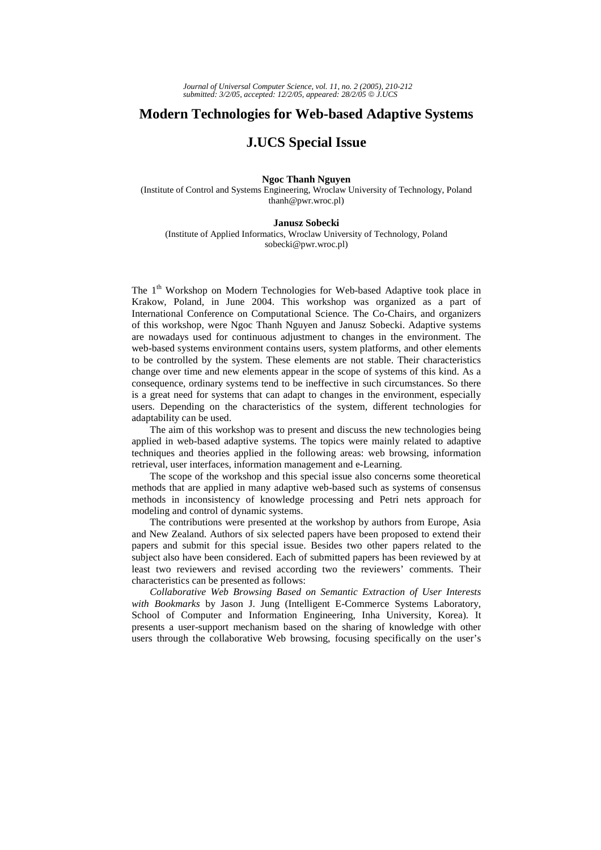## **Modern Technologies for Web-based Adaptive Systems**

## **J.UCS Special Issue**

## **Ngoc Thanh Nguyen**

(Institute of Control and Systems Engineering, Wroclaw University of Technology, Poland thanh@pwr.wroc.pl)

## **Janusz Sobecki**

(Institute of Applied Informatics, Wroclaw University of Technology, Poland sobecki@pwr.wroc.pl)

The 1<sup>th</sup> Workshop on Modern Technologies for Web-based Adaptive took place in Krakow, Poland, in June 2004. This workshop was organized as a part of International Conference on Computational Science. The Co-Chairs, and organizers of this workshop, were Ngoc Thanh Nguyen and Janusz Sobecki. Adaptive systems are nowadays used for continuous adjustment to changes in the environment. The web-based systems environment contains users, system platforms, and other elements to be controlled by the system. These elements are not stable. Their characteristics change over time and new elements appear in the scope of systems of this kind. As a consequence, ordinary systems tend to be ineffective in such circumstances. So there is a great need for systems that can adapt to changes in the environment, especially users. Depending on the characteristics of the system, different technologies for adaptability can be used.

The aim of this workshop was to present and discuss the new technologies being applied in web-based adaptive systems. The topics were mainly related to adaptive techniques and theories applied in the following areas: web browsing, information retrieval, user interfaces, information management and e-Learning.

The scope of the workshop and this special issue also concerns some theoretical methods that are applied in many adaptive web-based such as systems of consensus methods in inconsistency of knowledge processing and Petri nets approach for modeling and control of dynamic systems.

The contributions were presented at the workshop by authors from Europe, Asia and New Zealand. Authors of six selected papers have been proposed to extend their papers and submit for this special issue. Besides two other papers related to the subject also have been considered. Each of submitted papers has been reviewed by at least two reviewers and revised according two the reviewers' comments. Their characteristics can be presented as follows:

*Collaborative Web Browsing Based on Semantic Extraction of User Interests with Bookmarks* by Jason J. Jung (Intelligent E-Commerce Systems Laboratory, School of Computer and Information Engineering, Inha University, Korea). It presents a user-support mechanism based on the sharing of knowledge with other users through the collaborative Web browsing, focusing specifically on the user's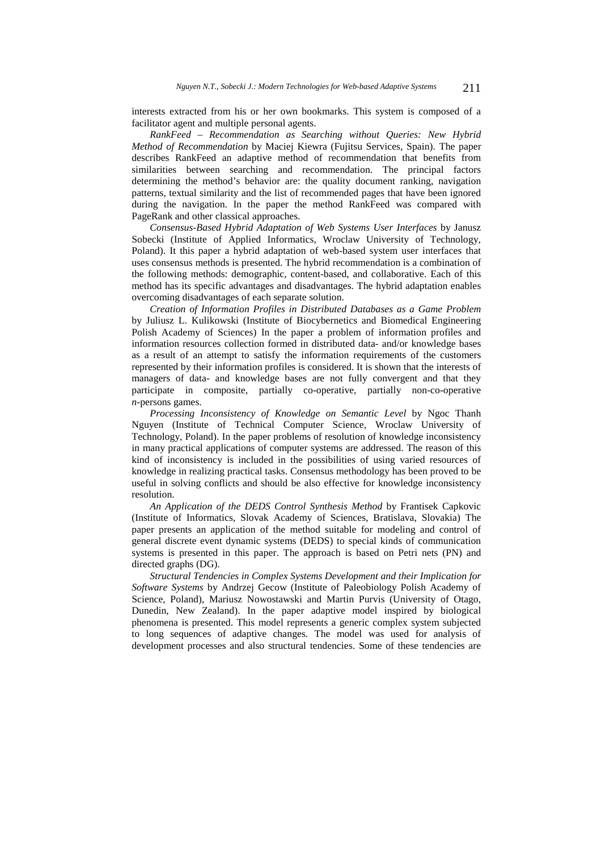interests extracted from his or her own bookmarks. This system is composed of a facilitator agent and multiple personal agents.

*RankFeed – Recommendation as Searching without Queries: New Hybrid Method of Recommendation* by Maciej Kiewra (Fujitsu Services, Spain). The paper describes RankFeed an adaptive method of recommendation that benefits from similarities between searching and recommendation. The principal factors determining the method's behavior are: the quality document ranking, navigation patterns, textual similarity and the list of recommended pages that have been ignored during the navigation. In the paper the method RankFeed was compared with PageRank and other classical approaches.

*Consensus-Based Hybrid Adaptation of Web Systems User Interfaces* by Janusz Sobecki (Institute of Applied Informatics, Wroclaw University of Technology, Poland). It this paper a hybrid adaptation of web-based system user interfaces that uses consensus methods is presented. The hybrid recommendation is a combination of the following methods: demographic, content-based, and collaborative. Each of this method has its specific advantages and disadvantages. The hybrid adaptation enables overcoming disadvantages of each separate solution.

*Creation of Information Profiles in Distributed Databases as a Game Problem* by Juliusz L. Kulikowski (Institute of Biocybernetics and Biomedical Engineering Polish Academy of Sciences) In the paper a problem of information profiles and information resources collection formed in distributed data- and/or knowledge bases as a result of an attempt to satisfy the information requirements of the customers represented by their information profiles is considered. It is shown that the interests of managers of data- and knowledge bases are not fully convergent and that they participate in composite, partially co-operative, partially non-co-operative *n-*persons games.

*Processing Inconsistency of Knowledge on Semantic Level* by Ngoc Thanh Nguyen (Institute of Technical Computer Science, Wroclaw University of Technology, Poland). In the paper problems of resolution of knowledge inconsistency in many practical applications of computer systems are addressed. The reason of this kind of inconsistency is included in the possibilities of using varied resources of knowledge in realizing practical tasks. Consensus methodology has been proved to be useful in solving conflicts and should be also effective for knowledge inconsistency resolution.

*An Application of the DEDS Control Synthesis Method* by Frantisek Capkovic (Institute of Informatics, Slovak Academy of Sciences, Bratislava, Slovakia) The paper presents an application of the method suitable for modeling and control of general discrete event dynamic systems (DEDS) to special kinds of communication systems is presented in this paper. The approach is based on Petri nets (PN) and directed graphs (DG).

*Structural Tendencies in Complex Systems Development and their Implication for Software Systems* by Andrzej Gecow (Institute of Paleobiology Polish Academy of Science, Poland), Mariusz Nowostawski and Martin Purvis (University of Otago, Dunedin, New Zealand). In the paper adaptive model inspired by biological phenomena is presented. This model represents a generic complex system subjected to long sequences of adaptive changes. The model was used for analysis of development processes and also structural tendencies. Some of these tendencies are